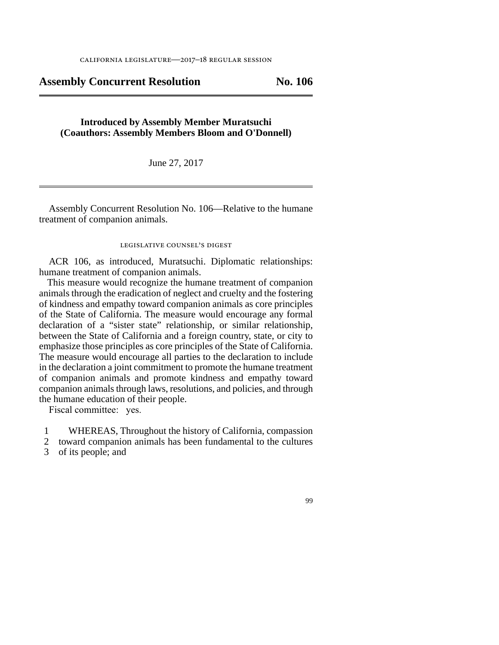**Assembly Concurrent Resolution No. 106** 

## **Introduced by Assembly Member Muratsuchi (Coauthors: Assembly Members Bloom and O'Donnell)**

June 27, 2017

Assembly Concurrent Resolution No. 106—Relative to the humane treatment of companion animals.

## legislative counsel's digest

ACR 106, as introduced, Muratsuchi. Diplomatic relationships: humane treatment of companion animals.

This measure would recognize the humane treatment of companion animals through the eradication of neglect and cruelty and the fostering of kindness and empathy toward companion animals as core principles of the State of California. The measure would encourage any formal declaration of a "sister state" relationship, or similar relationship, between the State of California and a foreign country, state, or city to emphasize those principles as core principles of the State of California. The measure would encourage all parties to the declaration to include in the declaration a joint commitment to promote the humane treatment of companion animals and promote kindness and empathy toward companion animals through laws, resolutions, and policies, and through the humane education of their people.

Fiscal committee: yes.

- line 1 WHEREAS, Throughout the history of California, compassion
- 2 toward companion animals has been fundamental to the cultures 3 of its people; and
- 

## 99